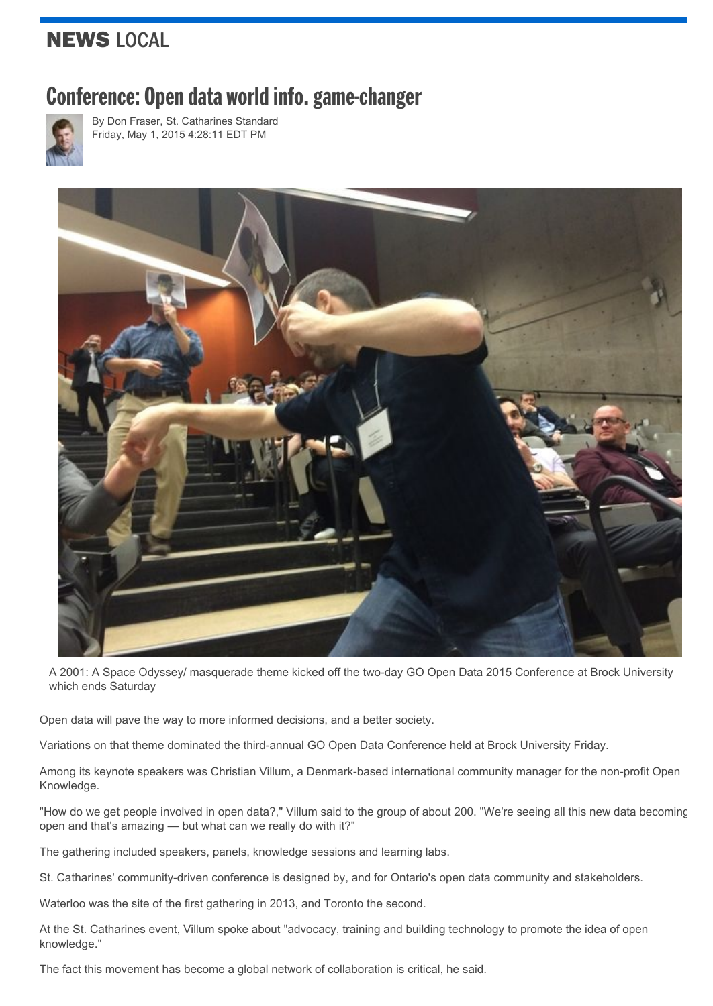## NEWS LOCAL

## Conference: Open data world info. game-changer



By Don [Fraser,](http://www.stcatharinesstandard.ca/author/don-fraser) St. Catharines Standard Friday, May 1, 2015 4:28:11 EDT PM



A 2001: A Space Odyssey/ masquerade theme kicked off the two-day GO Open Data 2015 Conference at Brock University which ends Saturday

Open data will pave the way to more informed decisions, and a better society.

Variations on that theme dominated the third-annual GO Open Data Conference held at Brock University Friday.

Among its keynote speakers was Christian Villum, a Denmark-based international community manager for the non-profit Open Knowledge.

"How do we get people involved in open data?," Villum said to the group of about 200. "We're seeing all this new data becoming open and that's amazing — but what can we really do with it?"

The gathering included speakers, panels, knowledge sessions and learning labs.

St. Catharines' community-driven conference is designed by, and for Ontario's open data community and stakeholders.

Waterloo was the site of the first gathering in 2013, and Toronto the second.

At the St. Catharines event, Villum spoke about "advocacy, training and building technology to promote the idea of open knowledge."

The fact this movement has become a global network of collaboration is critical, he said.